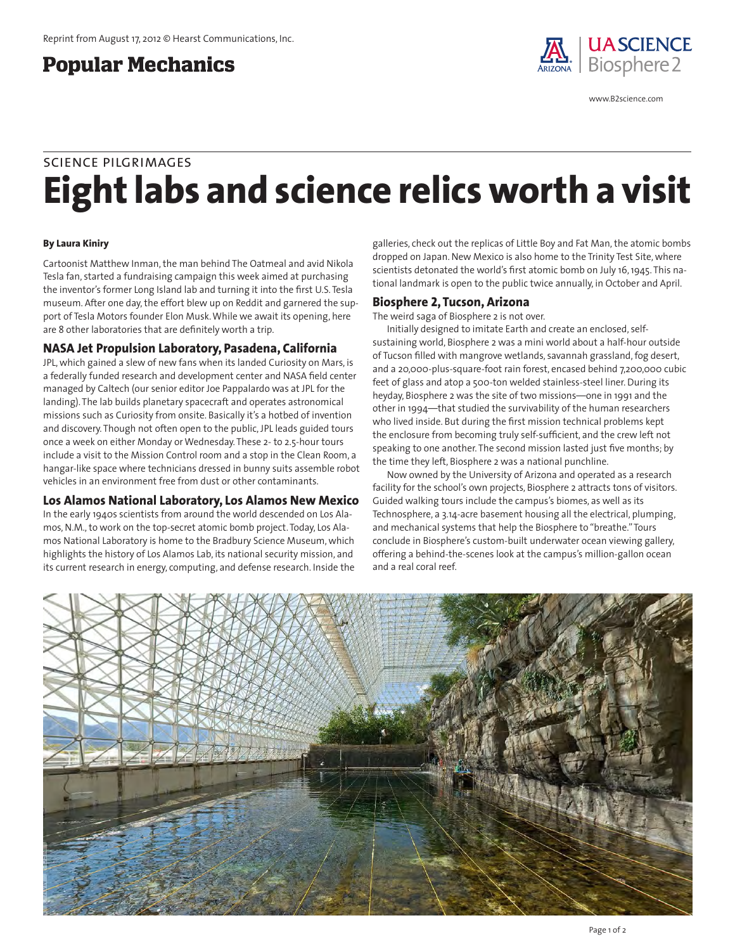# **Popular Mechanics**



www.B2science.com

# **Eight labs and science relics worth a visit** science pilgrimages

### **By Laura Kiniry**

Cartoonist Matthew Inman, the man behind The Oatmeal and avid Nikola Tesla fan, started a fundraising campaign this week aimed at purchasing the inventor's former Long Island lab and turning it into the first U.S. Tesla museum. After one day, the effort blew up on Reddit and garnered the support of Tesla Motors founder Elon Musk. While we await its opening, here are 8 other laboratories that are definitely worth a trip.

### **NASA Jet Propulsion Laboratory, Pasadena, California**

JPL, which gained a slew of new fans when its landed Curiosity on Mars, is a federally funded research and development center and NASA field center managed by Caltech (our senior editor Joe Pappalardo was at JPL for the landing). The lab builds planetary spacecraft and operates astronomical missions such as Curiosity from onsite. Basically it's a hotbed of invention and discovery. Though not often open to the public, JPL leads guided tours once a week on either Monday or Wednesday. These 2- to 2.5-hour tours include a visit to the Mission Control room and a stop in the Clean Room, a hangar-like space where technicians dressed in bunny suits assemble robot vehicles in an environment free from dust or other contaminants.

### **Los Alamos National Laboratory, Los Alamos New Mexico**

In the early 1940s scientists from around the world descended on Los Alamos, N.M., to work on the top-secret atomic bomb project. Today, Los Alamos National Laboratory is home to the Bradbury Science Museum, which highlights the history of Los Alamos Lab, its national security mission, and its current research in energy, computing, and defense research. Inside the

galleries, check out the replicas of Little Boy and Fat Man, the atomic bombs dropped on Japan. New Mexico is also home to the Trinity Test Site, where scientists detonated the world's first atomic bomb on July 16, 1945. This national landmark is open to the public twice annually, in October and April.

### **Biosphere 2, Tucson, Arizona**

The weird saga of Biosphere 2 is not over.

Initially designed to imitate Earth and create an enclosed, selfsustaining world, Biosphere 2 was a mini world about a half-hour outside of Tucson filled with mangrove wetlands, savannah grassland, fog desert, and a 20,000-plus-square-foot rain forest, encased behind 7,200,000 cubic feet of glass and atop a 500-ton welded stainless-steel liner. During its heyday, Biosphere 2 was the site of two missions—one in 1991 and the other in 1994—that studied the survivability of the human researchers who lived inside. But during the first mission technical problems kept the enclosure from becoming truly self-sufficient, and the crew left not speaking to one another. The second mission lasted just five months; by the time they left, Biosphere 2 was a national punchline.

Now owned by the University of Arizona and operated as a research facility for the school's own projects, Biosphere 2 attracts tons of visitors. Guided walking tours include the campus's biomes, as well as its Technosphere, a 3.14-acre basement housing all the electrical, plumping, and mechanical systems that help the Biosphere to "breathe." Tours conclude in Biosphere's custom-built underwater ocean viewing gallery, offering a behind-the-scenes look at the campus's million-gallon ocean and a real coral reef.